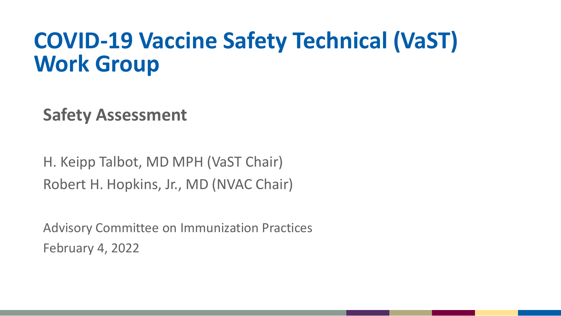# **COVID-19 Vaccine Safety Technical (VaST) Work Group**

**Safety Assessment** 

H. Keipp Talbot, MD MPH (VaST Chair) Robert H. Hopkins, Jr., MD (NVAC Chair)

Advisory Committee on Immunization Practices February 4, 2022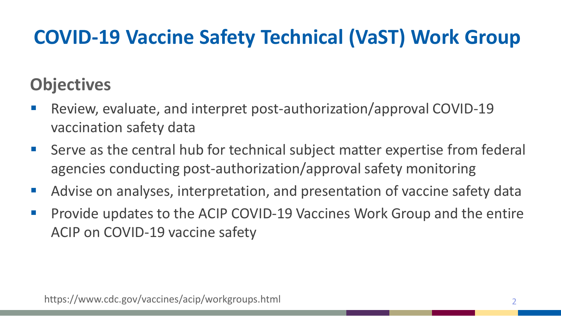# **COVID-19 Vaccine Safety Technical (VaST) Work Group**

### **Objectives**

- Review, evaluate, and interpret post-authorization/approval COVID-19 vaccination safety data
- Serve as the central hub for technical subject matter expertise from federal agencies conducting post-authorization/approval safety monitoring
- Advise on analyses, interpretation, and presentation of vaccine safety data
- **Provide updates to the ACIP COVID-19 Vaccines Work Group and the entire** ACIP on COVID-19 vaccine safety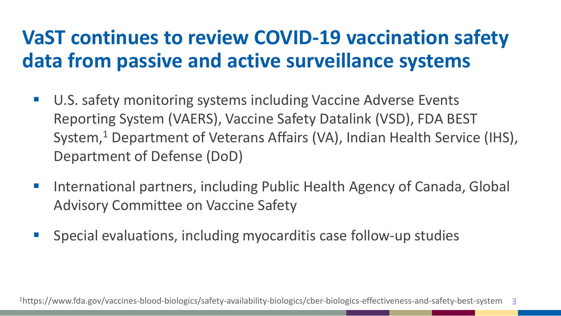# **VaST continues to review COVID-19 vaccination safety data from passive and active surveillance systems**

- U.S. safety monitoring systems including Vaccine Adverse Events Reporting System (VAERS), Vaccine Safety Datalink (VSD), FDA BEST System,<sup>1</sup> Department of Veterans Affairs (VA), Indian Health Service (IHS), Department of Defense (DoD)
- International partners, including Public Health Agency of Canada, Global Advisory Committee on Vaccine Safety
- Special evaluations, including myocarditis case follow-up studies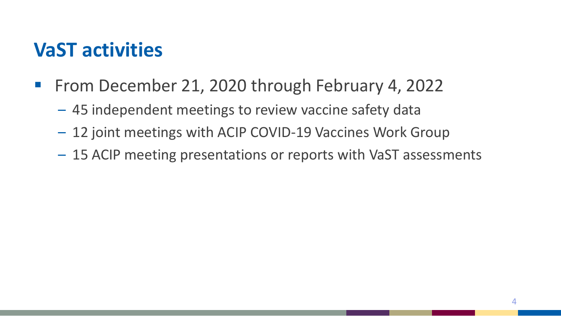## **VaST activities**

- **From December 21, 2020 through February 4, 2022** 
	- 45 independent meetings to review vaccine safety data
	- 12 joint meetings with ACIP COVID-19 Vaccines Work Group
	- 15 ACIP meeting presentations or reports with VaST assessments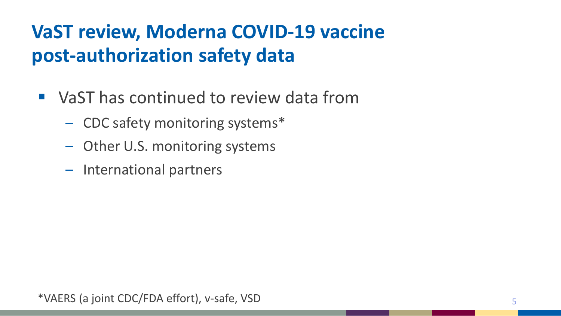# **VaST review, Moderna COVID-19 vaccine post-authorization safety data**

- VaST has continued to review data from
	- CDC safety monitoring systems\*
	- Other U.S. monitoring systems
	- International partners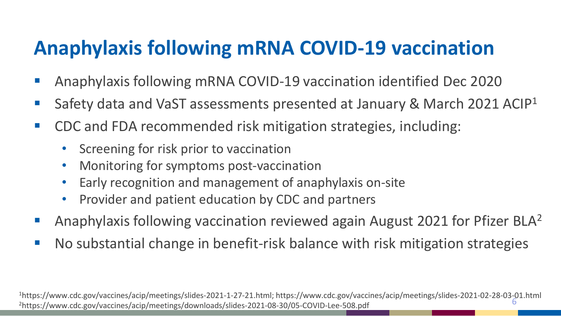# **Anaphylaxis following mRNA COVID-19 vaccination**

- Anaphylaxis following mRNA COVID-19 vaccination identified Dec 2020
- Safety data and VaST assessments presented at January & March 2021 ACIP<sup>1</sup>
- CDC and FDA recommended risk mitigation strategies, including:
	- Screening for risk prior to vaccination
	- Monitoring for symptoms post-vaccination
	- Early recognition and management of anaphylaxis on-site
	- Provider and patient education by CDC and partners
- Anaphylaxis following vaccination reviewed again August 2021 for Pfizer BLA2
- No substantial change in benefit-risk balance with risk mitigation strategies

<sup>1</sup>https://www.cdc.gov/vaccines/acip/meetings/slides-2021-1-27-21.html; https://www.cdc.gov/vaccines/acip/meetings/slides-2021-02-28-03-01.html<br><sup>2</sup>https://www.cdc.gov/vaccines/acip/meetings/downloads/slides-2021-08-30/05-C 2https://www.cdc.gov/vaccines/acip/meetings/downloads/slides-2021-08-30/05-COVID-Lee-508.pdf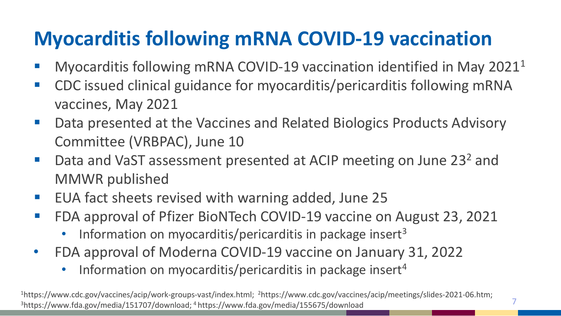# **Myocarditis following mRNA COVID-19 vaccination**

- **Myocarditis following mRNA COVID-19 vaccination identified in May 2021**<sup>1</sup>
- CDC issued clinical guidance for myocarditis/pericarditis following mRNA vaccines, May 2021
- Data presented at the Vaccines and Related Biologics Products Advisory Committee (VRBPAC), June 10
- Data and VaST assessment presented at ACIP meeting on June 23<sup>2</sup> and MMWR published
- EUA fact sheets revised with warning added, June 25
- FDA approval of Pfizer BioNTech COVID-19 vaccine on August 23, 2021
	- Information on myocarditis/pericarditis in package insert<sup>3</sup>
- FDA approval of Moderna COVID-19 vaccine on January 31, 2022
	- Information on myocarditis/pericarditis in package insert<sup>4</sup>

1https://www.cdc.gov/vaccines/acip/work-groups-vast/index.html; 2https://www.cdc.gov/vaccines/acip/meetings/slides-2021-06.htm; 3https://www.fda.gov/media/151707/download; 4 https://www.fda.gov/media/155675/download

7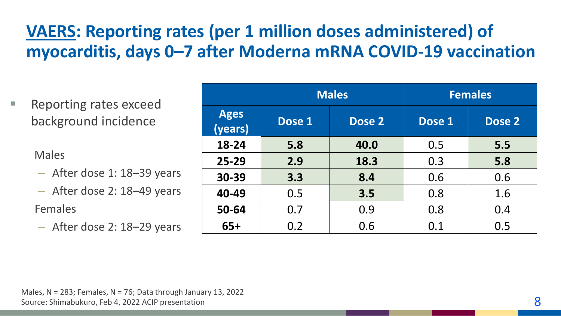### **VAERS: Reporting rates (per 1 million doses administered) of myocarditis, days 0–7 after Moderna mRNA COVID-19 vaccination**

 Reporting rates exceed background incidence

Males

- After dose 1: 18–39 years
- After dose 2: 18–49 years

#### Females

– After dose 2: 18–29 years

|                        | <b>Males</b> |        | <b>Females</b> |        |
|------------------------|--------------|--------|----------------|--------|
| <b>Ages</b><br>(years) | Dose 1       | Dose 2 | Dose 1         | Dose 2 |
| 18-24                  | 5.8          | 40.0   | 0.5            | 5.5    |
| $25 - 29$              | 2.9          | 18.3   | 0.3            | 5.8    |
| 30-39                  | 3.3          | 8.4    | 0.6            | 0.6    |
| 40-49                  | 0.5          | 3.5    | 0.8            | 1.6    |
| 50-64                  | 0.7          | 0.9    | 0.8            | 0.4    |
| $65+$                  | 0.2          | 0.6    | 0.1            | 0.5    |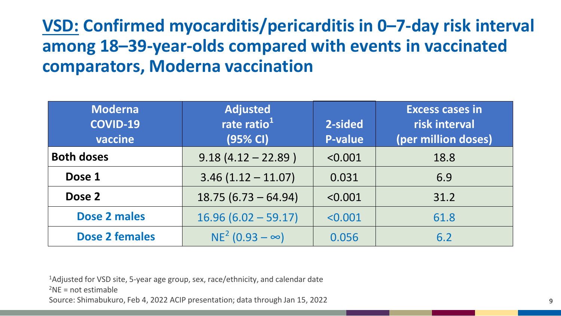### **VSD: Confirmed myocarditis/pericarditis in 0–7-day risk interval among 18–39-year-olds compared with events in vaccinated comparators, Moderna vaccination**

| <b>Moderna</b><br><b>COVID-19</b><br>vaccine | <b>Adjusted</b><br>rate ratio <sup>1</sup><br>(95% CI) | 2-sided<br><b>P-value</b> | <b>Excess cases in</b><br>risk interval<br>(per million doses) |
|----------------------------------------------|--------------------------------------------------------|---------------------------|----------------------------------------------------------------|
| <b>Both doses</b>                            | $9.18(4.12 - 22.89)$                                   | < 0.001                   | 18.8                                                           |
| Dose 1                                       | $3.46(1.12 - 11.07)$                                   | 0.031                     | 6.9                                                            |
| Dose 2                                       | $18.75(6.73 - 64.94)$                                  | < 0.001                   | 31.2                                                           |
| Dose 2 males                                 | $16.96(6.02 - 59.17)$                                  | < 0.001                   | 61.8                                                           |
| <b>Dose 2 females</b>                        | $NE^2$ (0.93 – $\infty$ )                              | 0.056                     | 6.2                                                            |

<sup>1</sup>Adjusted for VSD site, 5-year age group, sex, race/ethnicity, and calendar date

 $2NE = not$  estimable

Source: Shimabukuro, Feb 4, 2022 ACIP presentation; data through Jan 15, 2022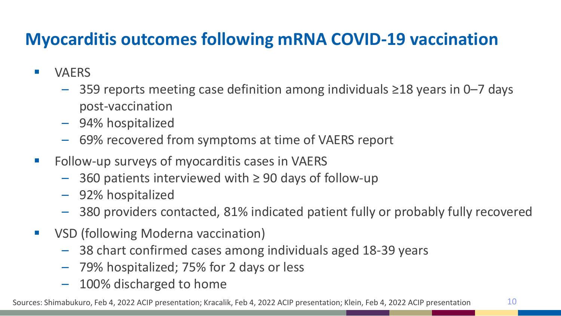### **Myocarditis outcomes following mRNA COVID-19 vaccination**

- **NAERS** 
	- 359 reports meeting case definition among individuals ≥18 years in 0–7 days post-vaccination
	- 94% hospitalized
	- 69% recovered from symptoms at time of VAERS report
- **F** Follow-up surveys of myocarditis cases in VAERS
	- 360 patients interviewed with ≥ 90 days of follow-up
	- 92% hospitalized
	- 380 providers contacted, 81% indicated patient fully or probably fully recovered
- **VICED** (following Moderna vaccination)
	- 38 chart confirmed cases among individuals aged 18-39 years
	- 79% hospitalized; 75% for 2 days or less
	- 100% discharged to home

Sources: Shimabukuro, Feb 4, 2022 ACIP presentation; Kracalik, Feb 4, 2022 ACIP presentation; Klein, Feb 4, 2022 ACIP presentation 10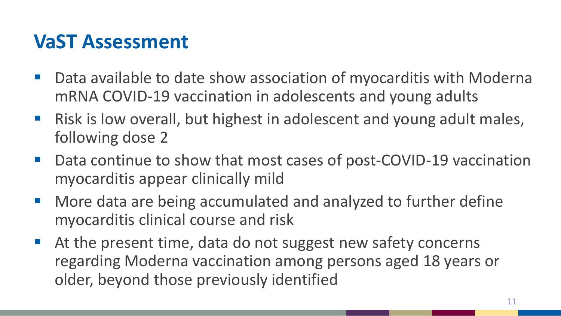## **VaST Assessment**

- Data available to date show association of myocarditis with Moderna mRNA COVID-19 vaccination in adolescents and young adults
- Risk is low overall, but highest in adolescent and young adult males, following dose 2
- Data continue to show that most cases of post-COVID-19 vaccination myocarditis appear clinically mild
- **More data are being accumulated and analyzed to further define** myocarditis clinical course and risk
- At the present time, data do not suggest new safety concerns regarding Moderna vaccination among persons aged 18 years or older, beyond those previously identified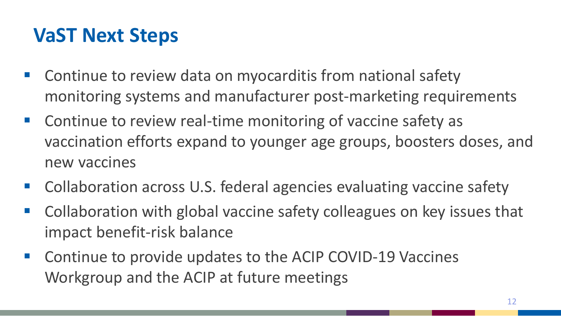# **VaST Next Steps**

- **E** Continue to review data on myocarditis from national safety monitoring systems and manufacturer post-marketing requirements
- **Continue to review real-time monitoring of vaccine safety as** vaccination efforts expand to younger age groups, boosters doses, and new vaccines
- Collaboration across U.S. federal agencies evaluating vaccine safety
- Collaboration with global vaccine safety colleagues on key issues that impact benefit-risk balance
- **E** Continue to provide updates to the ACIP COVID-19 Vaccines Workgroup and the ACIP at future meetings